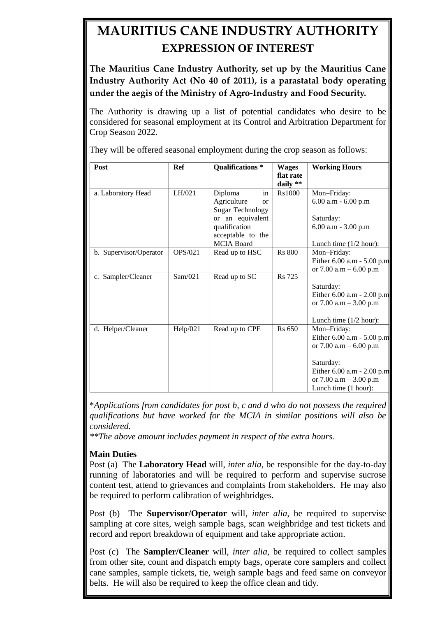## **MAURITIUS CANE INDUSTRY AUTHORITY EXPRESSION OF INTEREST**

**The Mauritius Cane Industry Authority, set up by the Mauritius Cane Industry Authority Act (No 40 of 2011), is a parastatal body operating under the aegis of the Ministry of Agro-Industry and Food Security.**

The Authority is drawing up a list of potential candidates who desire to be considered for seasonal employment at its Control and Arbitration Department for Crop Season 2022.

They will be offered seasonal employment during the crop season as follows:

| Post                   | <b>Ref</b>     | Qualifications <sup>*</sup>                                                                                                                        | <b>Wages</b><br>flat rate | <b>Working Hours</b>                                                                                                                                                |
|------------------------|----------------|----------------------------------------------------------------------------------------------------------------------------------------------------|---------------------------|---------------------------------------------------------------------------------------------------------------------------------------------------------------------|
| a. Laboratory Head     | LH/021         | Diploma<br>in<br>Agriculture<br>$\alpha$<br><b>Sugar Technology</b><br>or an equivalent<br>qualification<br>acceptable to the<br><b>MCIA</b> Board | daily **<br>Rs1000        | Mon-Friday:<br>$6.00$ a.m - $6.00$ p.m<br>Saturday:<br>6.00 a.m - 3.00 p.m<br>Lunch time $(1/2$ hour):                                                              |
| b. Supervisor/Operator | <b>OPS/021</b> | Read up to HSC                                                                                                                                     | <b>Rs</b> 800             | Mon-Friday:<br>Either $6.00$ a.m $- 5.00$ p.m<br>or 7.00 a.m $-6.00$ p.m                                                                                            |
| c. Sampler/Cleaner     | Sam/021        | Read up to SC                                                                                                                                      | <b>Rs</b> 725             | Saturday:<br>Either $6.00$ a.m $- 2.00$ p.m<br>or 7.00 a.m $-$ 3.00 p.m<br>Lunch time $(1/2$ hour):                                                                 |
| d. Helper/Cleaner      | Help/021       | Read up to CPE                                                                                                                                     | <b>Rs 650</b>             | Mon-Friday:<br>Either 6.00 a.m - 5.00 p.m<br>or 7.00 a.m $-6.00$ p.m<br>Saturday:<br>Either 6.00 a.m - 2.00 p.m<br>or 7.00 a.m $-$ 3.00 p.m<br>Lunch time (1 hour): |

\**Applications from candidates for post b, c and d who do not possess the required qualifications but have worked for the MCIA in similar positions will also be considered.*

*\*\*The above amount includes payment in respect of the extra hours.*

## **Main Duties**

Post (a) The **Laboratory Head** will, *inter alia*, be responsible for the day-to-day running of laboratories and will be required to perform and supervise sucrose content test, attend to grievances and complaints from stakeholders. He may also be required to perform calibration of weighbridges.

Post (b) The **Supervisor/Operator** will, *inter alia*, be required to supervise sampling at core sites, weigh sample bags, scan weighbridge and test tickets and record and report breakdown of equipment and take appropriate action.

Post (c) The **Sampler/Cleaner** will, *inter alia*, be required to collect samples from other site, count and dispatch empty bags, operate core samplers and collect cane samples, sample tickets, tie, weigh sample bags and feed same on conveyor belts. He will also be required to keep the office clean and tidy.